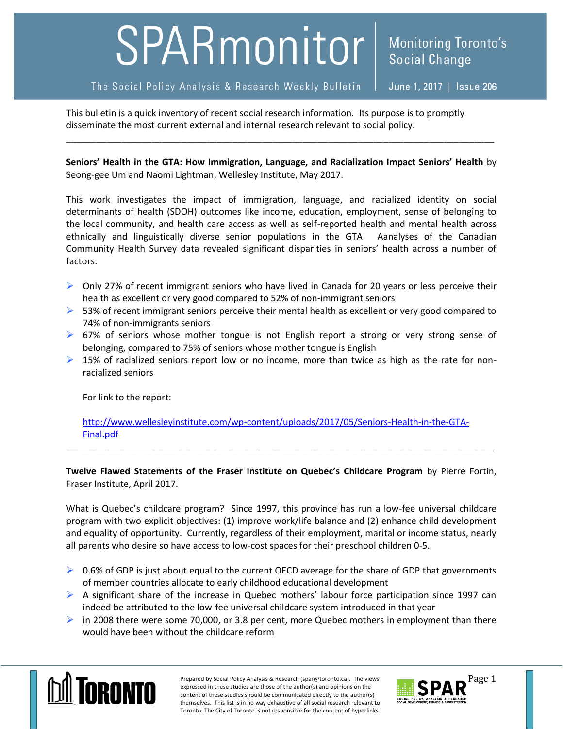## SPARmonitor

The Social Policy Analysis & Research Weekly Bulletin

June 1, 2017 | Issue 206

This bulletin is a quick inventory of recent social research information. Its purpose is to promptly disseminate the most current external and internal research relevant to social policy.

**Seniors' Health in the GTA: How Immigration, Language, and Racialization Impact Seniors' Health** by Seong-gee Um and Naomi Lightman, Wellesley Institute, May 2017.

\_\_\_\_\_\_\_\_\_\_\_\_\_\_\_\_\_\_\_\_\_\_\_\_\_\_\_\_\_\_\_\_\_\_\_\_\_\_\_\_\_\_\_\_\_\_\_\_\_\_\_\_\_\_\_\_\_\_\_\_\_\_\_\_\_\_\_\_\_\_\_\_\_\_\_\_\_\_\_\_\_\_\_\_\_

This work investigates the impact of immigration, language, and racialized identity on social determinants of health (SDOH) outcomes like income, education, employment, sense of belonging to the local community, and health care access as well as self-reported health and mental health across ethnically and linguistically diverse senior populations in the GTA. Aanalyses of the Canadian Community Health Survey data revealed significant disparities in seniors' health across a number of factors.

- $\triangleright$  Only 27% of recent immigrant seniors who have lived in Canada for 20 years or less perceive their health as excellent or very good compared to 52% of non-immigrant seniors
- $\triangleright$  53% of recent immigrant seniors perceive their mental health as excellent or very good compared to 74% of non-immigrants seniors
- ▶ 67% of seniors whose mother tongue is not English report a strong or very strong sense of belonging, compared to 75% of seniors whose mother tongue is English
- $\triangleright$  15% of racialized seniors report low or no income, more than twice as high as the rate for nonracialized seniors

For link to the report:

[http://www.wellesleyinstitute.com/wp-content/uploads/2017/05/Seniors-Health-in-the-GTA-](http://www.wellesleyinstitute.com/wp-content/uploads/2017/05/Seniors-Health-in-the-GTA-Final.pdf)[Final.pdf](http://www.wellesleyinstitute.com/wp-content/uploads/2017/05/Seniors-Health-in-the-GTA-Final.pdf)

\_\_\_\_\_\_\_\_\_\_\_\_\_\_\_\_\_\_\_\_\_\_\_\_\_\_\_\_\_\_\_\_\_\_\_\_\_\_\_\_\_\_\_\_\_\_\_\_\_\_\_\_\_\_\_\_\_\_\_\_\_\_\_\_\_\_\_\_\_\_\_\_\_\_\_\_\_\_\_\_\_\_\_\_\_

**Twelve Flawed Statements of the Fraser Institute on Quebec's Childcare Program** by Pierre Fortin, Fraser Institute, April 2017.

What is Quebec's childcare program? Since 1997, this province has run a low-fee universal childcare program with two explicit objectives: (1) improve work/life balance and (2) enhance child development and equality of opportunity. Currently, regardless of their employment, marital or income status, nearly all parents who desire so have access to low-cost spaces for their preschool children 0-5.

- $\triangleright$  0.6% of GDP is just about equal to the current OECD average for the share of GDP that governments of member countries allocate to early childhood educational development
- $\triangleright$  A significant share of the increase in Quebec mothers' labour force participation since 1997 can indeed be attributed to the low-fee universal childcare system introduced in that year
- in 2008 there were some 70,000, or 3.8 per cent, more Quebec mothers in employment than there would have been without the childcare reform



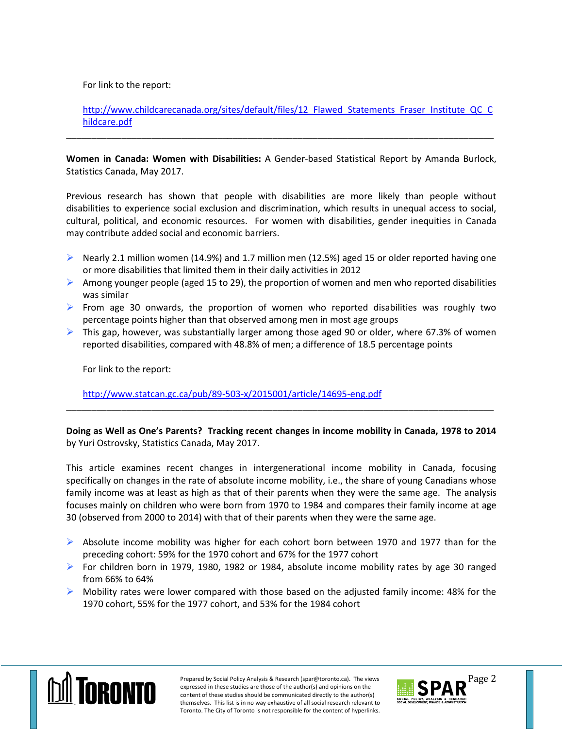For link to the report:

http://www.childcarecanada.org/sites/default/files/12 Flawed Statements Fraser Institute QC C [hildcare.pdf](http://www.childcarecanada.org/sites/default/files/12_Flawed_Statements_Fraser_Institute_QC_Childcare.pdf)

**Women in Canada: Women with Disabilities:** A Gender-based Statistical Report by Amanda Burlock, Statistics Canada, May 2017.

\_\_\_\_\_\_\_\_\_\_\_\_\_\_\_\_\_\_\_\_\_\_\_\_\_\_\_\_\_\_\_\_\_\_\_\_\_\_\_\_\_\_\_\_\_\_\_\_\_\_\_\_\_\_\_\_\_\_\_\_\_\_\_\_\_\_\_\_\_\_\_\_\_\_\_\_\_\_\_\_\_\_\_\_\_

Previous research has shown that people with disabilities are more likely than people without disabilities to experience social exclusion and discrimination, which results in unequal access to social, cultural, political, and economic resources. For women with disabilities, gender inequities in Canada may contribute added social and economic barriers.

- Nearly 2.1 million women (14.9%) and 1.7 million men (12.5%) aged 15 or older reported having one or more disabilities that limited them in their daily activities in 2012
- Among younger people (aged 15 to 29), the proportion of women and men who reported disabilities was similar
- $\triangleright$  From age 30 onwards, the proportion of women who reported disabilities was roughly two percentage points higher than that observed among men in most age groups
- $\triangleright$  This gap, however, was substantially larger among those aged 90 or older, where 67.3% of women reported disabilities, compared with 48.8% of men; a difference of 18.5 percentage points

For link to the report:

<http://www.statcan.gc.ca/pub/89-503-x/2015001/article/14695-eng.pdf>

**Doing as Well as One's Parents? Tracking recent changes in income mobility in Canada, 1978 to 2014** by Yuri Ostrovsky, Statistics Canada, May 2017.

\_\_\_\_\_\_\_\_\_\_\_\_\_\_\_\_\_\_\_\_\_\_\_\_\_\_\_\_\_\_\_\_\_\_\_\_\_\_\_\_\_\_\_\_\_\_\_\_\_\_\_\_\_\_\_\_\_\_\_\_\_\_\_\_\_\_\_\_\_\_\_\_\_\_\_\_\_\_\_\_\_\_\_\_\_

This article examines recent changes in intergenerational income mobility in Canada, focusing specifically on changes in the rate of absolute income mobility, i.e., the share of young Canadians whose family income was at least as high as that of their parents when they were the same age. The analysis focuses mainly on children who were born from 1970 to 1984 and compares their family income at age 30 (observed from 2000 to 2014) with that of their parents when they were the same age.

- $\triangleright$  Absolute income mobility was higher for each cohort born between 1970 and 1977 than for the preceding cohort: 59% for the 1970 cohort and 67% for the 1977 cohort
- For children born in 1979, 1980, 1982 or 1984, absolute income mobility rates by age 30 ranged from 66% to 64%
- $\triangleright$  Mobility rates were lower compared with those based on the adjusted family income: 48% for the 1970 cohort, 55% for the 1977 cohort, and 53% for the 1984 cohort